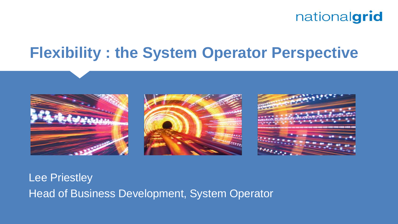## **Flexibility : the System Operator Perspective**



Lee Priestley Head of Business Development, System Operator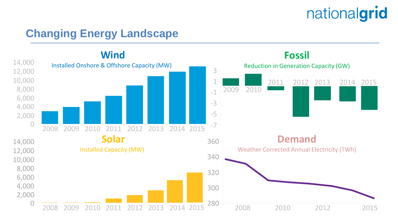### **Changing Energy Landscape**

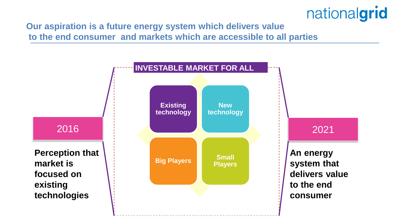**Our aspiration is a future energy system which delivers value to the end consumer and markets which are accessible to all parties**

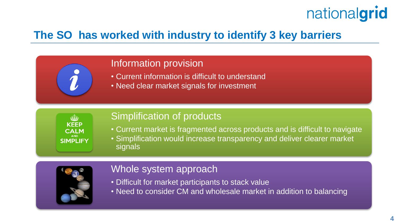### **The SO has worked with industry to identify 3 key barriers**

#### Information provision

- Current information is difficult to understand
- Need clear market signals for investment

**CAIM SIMPLIFY** 

#### Simplification of products

- Current market is fragmented across products and is difficult to navigate
- Simplification would increase transparency and deliver clearer market signals



#### Whole system approach

- Difficult for market participants to stack value
- Need to consider CM and wholesale market in addition to balancing